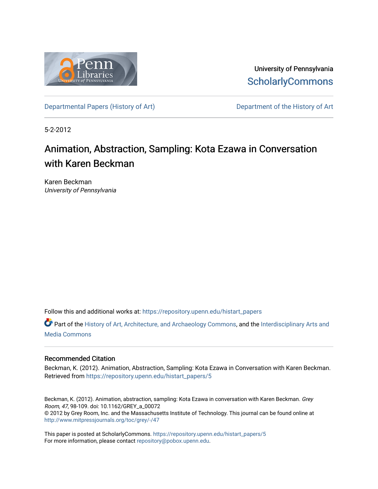

University of Pennsylvania **ScholarlyCommons** 

[Departmental Papers \(History of Art\)](https://repository.upenn.edu/histart_papers) Department of the History of Art

5-2-2012

## Animation, Abstraction, Sampling: Kota Ezawa in Conversation with Karen Beckman

Karen Beckman University of Pennsylvania

Follow this and additional works at: [https://repository.upenn.edu/histart\\_papers](https://repository.upenn.edu/histart_papers?utm_source=repository.upenn.edu%2Fhistart_papers%2F5&utm_medium=PDF&utm_campaign=PDFCoverPages)

Part of the [History of Art, Architecture, and Archaeology Commons,](http://network.bepress.com/hgg/discipline/510?utm_source=repository.upenn.edu%2Fhistart_papers%2F5&utm_medium=PDF&utm_campaign=PDFCoverPages) and the Interdisciplinary Arts and [Media Commons](http://network.bepress.com/hgg/discipline/1137?utm_source=repository.upenn.edu%2Fhistart_papers%2F5&utm_medium=PDF&utm_campaign=PDFCoverPages)

#### Recommended Citation

Beckman, K. (2012). Animation, Abstraction, Sampling: Kota Ezawa in Conversation with Karen Beckman. Retrieved from [https://repository.upenn.edu/histart\\_papers/5](https://repository.upenn.edu/histart_papers/5?utm_source=repository.upenn.edu%2Fhistart_papers%2F5&utm_medium=PDF&utm_campaign=PDFCoverPages) 

Beckman, K. (2012). Animation, abstraction, sampling: Kota Ezawa in conversation with Karen Beckman. Grey Room, 47, 98-109. doi: 10.1162/GREY\_a\_00072 © 2012 by Grey Room, Inc. and the Massachusetts Institute of Technology. This journal can be found online at <http://www.mitpressjournals.org/toc/grey/-/47>

This paper is posted at ScholarlyCommons. [https://repository.upenn.edu/histart\\_papers/5](https://repository.upenn.edu/histart_papers/5)  For more information, please contact [repository@pobox.upenn.edu.](mailto:repository@pobox.upenn.edu)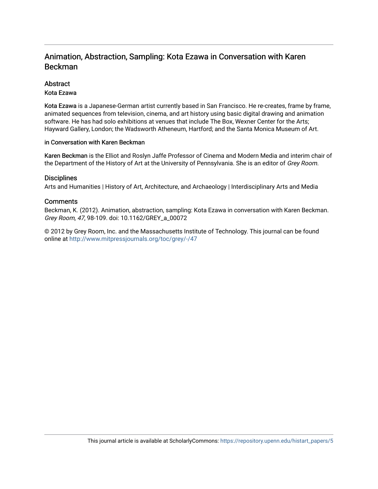## Animation, Abstraction, Sampling: Kota Ezawa in Conversation with Karen Beckman

### **Abstract**

#### Kota Ezawa

Kota Ezawa is a Japanese-German artist currently based in San Francisco. He re-creates, frame by frame, animated sequences from television, cinema, and art history using basic digital drawing and animation software. He has had solo exhibitions at venues that include The Box, Wexner Center for the Arts; Hayward Gallery, London; the Wadsworth Atheneum, Hartford; and the Santa Monica Museum of Art.

### in Conversation with Karen Beckman

Karen Beckman is the Elliot and Roslyn Jaffe Professor of Cinema and Modern Media and interim chair of the Department of the History of Art at the University of Pennsylvania. She is an editor of Grey Room.

## **Disciplines**

Arts and Humanities | History of Art, Architecture, and Archaeology | Interdisciplinary Arts and Media

## **Comments**

Beckman, K. (2012). Animation, abstraction, sampling: Kota Ezawa in conversation with Karen Beckman. Grey Room, 47, 98-109. doi: 10.1162/GREY\_a\_00072

© 2012 by Grey Room, Inc. and the Massachusetts Institute of Technology. This journal can be found online at <http://www.mitpressjournals.org/toc/grey/-/47>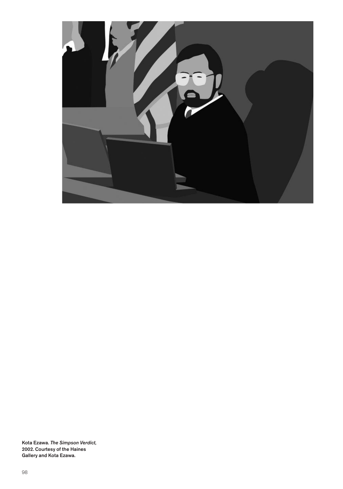

**Kota Ezawa.** *The Simpson Verdict***, 2002. Courtesy of the Haines Gallery and Kota Ezawa.**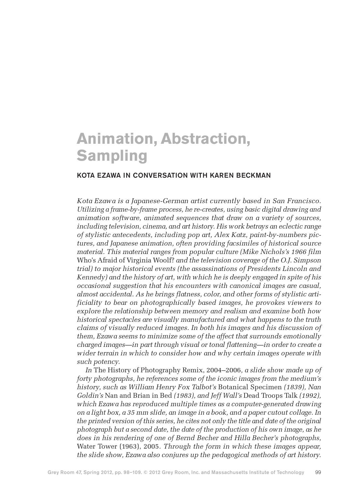# **Animation, Abstraction, Sampling**

#### **KOTA EZAWA IN CONVERSATION WITH KAREN BECKMAN**

*Kota Ezawa is a Japanese-German artist currently based in San Francisco. Utilizing a frame-by-frame process, he re-creates, using basic digital drawing and animation software, animated sequences that draw on a variety of sources, including television, cinema, and art history. His work betrays an eclectic range of stylistic antecedents, including pop art, Alex Katz, paint-by-numbers pictures, and Japanese animation, often providing facsimiles of historical source material. This material ranges from popular culture (Mike Nichols's 1966 film* Who's Afraid of Virginia Woolf? *and the television coverage of the O.J. Simpson trial) to major historical events (the assassinations of Presidents Lincoln and Kennedy) and the history of art, with which he is deeply engaged in spite of his occasional suggestion that his encounters with canonical images are casual, almost accidental. As he brings flatness, color, and other forms of stylistic artificiality to bear on photographically based images, he provokes viewers to explore the relationship between memory and realism and examine both how historical spectacles are visually manufactured and what happens to the truth claims of visually reduced images. In both his images and his discussion of them, Ezawa seems to minimize some of the affect that surrounds emotionally charged images—in part through visual or tonal flattening—in order to create a wider terrain in which to consider how and why certain images operate with such potency.*

*In* The History of Photography Remix, 2004–2006*, a slide show made up of forty photographs, he references some of the iconic images from the medium's history, such as William Henry Fox Talbot's* Botanical Specimen *(1839), Nan Goldin's* Nan and Brian in Bed *(1983), and Jeff Wall's* Dead Troops Talk *(1992), which Ezawa has reproduced multiple times as a computer-generated drawing on a light box, a 35 mm slide, an image in a book, and a paper cutout collage. In the printed version of this series, he cites not only the title and date of the original photograph but a second date, the date of the production of his own image, as he does in his rendering of one of Bernd Becher and Hilla Becher's photographs,* Water Tower (1963), 2005*. Through the form in which these images appear, the slide show, Ezawa also conjures up the pedagogical methods of art history.*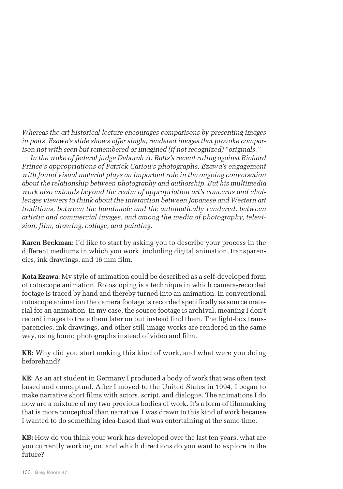*Whereas the art historical lecture encourages comparisons by presenting images in pairs, Ezawa's slide shows offer single, rendered images that provoke comparison not with seen but remembered or imagined (if not recognized) "originals."*

*In the wake of federal judge Deborah A. Batts's recent ruling against Richard Prince's appropriations of Patrick Cariou's photographs, Ezawa's engagement with found visual material plays an important role in the ongoing conversation about the relationship between photography and authorship. But his multimedia work also extends beyond the realm of appropriation art's concerns and challenges viewers to think about the interaction between Japanese and Western art traditions, between the handmade and the automatically rendered, between artistic and commercial images, and among the media of photography, television, film, drawing, collage, and painting.*

**Karen Beckman:** I'd like to start by asking you to describe your process in the different mediums in which you work, including digital animation, transparencies, ink drawings, and 16 mm film.

**Kota Ezawa:** My style of animation could be described as a self-developed form of rotoscope animation. Rotoscoping is a technique in which camera-recorded footage is traced by hand and thereby turned into an animation. In conventional rotoscope animation the camera footage is recorded specifically as source material for an animation. In my case, the source footage is archival, meaning I don't record images to trace them later on but instead find them. The light-box transparencies, ink drawings, and other still image works are rendered in the same way, using found photographs instead of video and film.

**KB:** Why did you start making this kind of work, and what were you doing beforehand?

**KE:** As an art student in Germany I produced a body of work that was often text based and conceptual. After I moved to the United States in 1994, I began to make narrative short films with actors, script, and dialogue. The animations I do now are a mixture of my two previous bodies of work. It's a form of filmmaking that is more conceptual than narrative. I was drawn to this kind of work because I wanted to do something idea-based that was entertaining at the same time.

**KB:** How do you think your work has developed over the last ten years, what are you currently working on, and which directions do you want to explore in the future?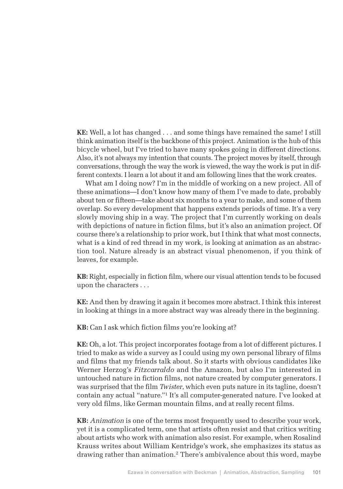**KE:** Well, a lot has changed . . . and some things have remained the same! I still think animation itself is the backbone of this project. Animation is the hub of this bicycle wheel, but I've tried to have many spokes going in different directions. Also, it's not always my intention that counts. The project moves by itself, through conversations, through the way the work is viewed, the way the work is put in different contexts. I learn a lot about it and am following lines that the work creates.

What am I doing now? I'm in the middle of working on a new project. All of these animations—I don't know how many of them I've made to date, probably about ten or fifteen—take about six months to a year to make, and some of them overlap. So every development that happens extends periods of time. It's a very slowly moving ship in a way. The project that I'm currently working on deals with depictions of nature in fiction films, but it's also an animation project. Of course there's a relationship to prior work, but I think that what most connects, what is a kind of red thread in my work, is looking at animation as an abstraction tool. Nature already is an abstract visual phenomenon, if you think of leaves, for example.

**KB:** Right, especially in fiction film, where our visual attention tends to be focused upon the characters . . .

**KE:** And then by drawing it again it becomes more abstract. I think this interest in looking at things in a more abstract way was already there in the beginning.

**KB:** Can I ask which fiction films you're looking at?

**KE:** Oh, a lot. This project incorporates footage from a lot of different pictures. I tried to make as wide a survey as I could using my own personal library of films and films that my friends talk about. So it starts with obvious candidates like Werner Herzog's *Fitzcarraldo* and the Amazon, but also I'm interested in untouched nature in fiction films, not nature created by computer generators. I was surprised that the film *Twister*, which even puts nature in its tagline, doesn't contain any actual "nature."1 It's all computer-generated nature. I've looked at very old films, like German mountain films, and at really recent films.

**KB:** *Animation* is one of the terms most frequently used to describe your work, yet it is a complicated term, one that artists often resist and that critics writing about artists who work with animation also resist. For example, when Rosalind Krauss writes about William Kentridge's work, she emphasizes its status as drawing rather than animation. <sup>2</sup> There's ambivalence about this word, maybe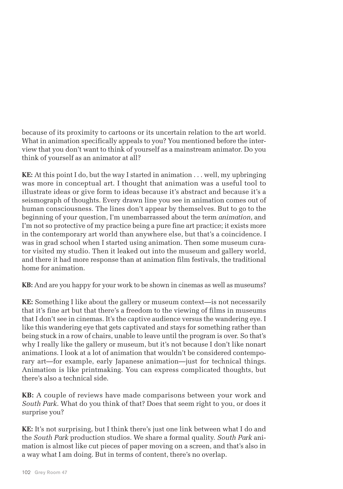because of its proximity to cartoons or its uncertain relation to the art world. What in animation specifically appeals to you? You mentioned before the interview that you don't want to think of yourself as a mainstream animator. Do you think of yourself as an animator at all?

**KE:** At this point I do, but the way I started in animation . . . well, my upbringing was more in conceptual art. I thought that animation was a useful tool to illustrate ideas or give form to ideas because it's abstract and because it's a seismograph of thoughts. Every drawn line you see in animation comes out of human consciousness. The lines don't appear by themselves. But to go to the beginning of your question, I'm unembarrassed about the term *animation*, and I'm not so protective of my practice being a pure fine art practice; it exists more in the contemporary art world than anywhere else, but that's a coincidence. I was in grad school when I started using animation. Then some museum curator visited my studio. Then it leaked out into the museum and gallery world, and there it had more response than at animation film festivals, the traditional home for animation.

**KB:** And are you happy for your work to be shown in cinemas as well as museums?

**KE:** Something I like about the gallery or museum context—is not necessarily that it's fine art but that there's a freedom to the viewing of films in museums that I don't see in cinemas. It's the captive audience versus the wandering eye. I like this wandering eye that gets captivated and stays for something rather than being stuck in a row of chairs, unable to leave until the program is over. So that's why I really like the gallery or museum, but it's not because I don't like nonart animations. I look at a lot of animation that wouldn't be considered contemporary art—for example, early Japanese animation—just for technical things. Animation is like printmaking. You can express complicated thoughts, but there's also a technical side.

**KB:** A couple of reviews have made comparisons between your work and *South Park*. What do you think of that? Does that seem right to you, or does it surprise you?

**KE:** It's not surprising, but I think there's just one link between what I do and the *South Park* production studios. We share a formal quality. *South Park* animation is almost like cut pieces of paper moving on a screen, and that's also in a way what I am doing. But in terms of content, there's no overlap.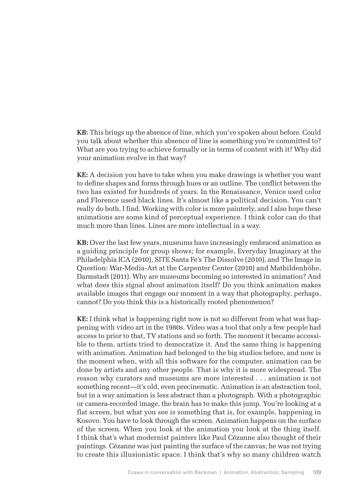**KB:** This brings up the absence of line, which you've spoken about before. Could you talk about whether this absence of line is something you're committed to? What are you trying to achieve formally or in terms of content with it? Why did your animation evolve in that way?

**KE:** A decision you have to take when you make drawings is whether you want to define shapes and forms through hues or an outline. The conflict between the two has existed for hundreds of years. In the Renaissance, Venice used color and Florence used black lines. It's almost like a political decision. You can't really do both, I find. Working with color is more painterly, and I also hope these animations are some kind of perceptual experience. I think color can do that much more than lines. Lines are more intellectual in a way.

**KB:** Over the last few years, museums have increasingly embraced animation as a guiding principle for group shows; for example, Everyday Imaginary at the Philadelphia ICA (2010), SITE Santa Fe's The Dissolve (2010), and The Image in Question: War-Media-Art at the Carpenter Center (2010) and Mathildenhöhe, Darmstadt (2011). Why are museums becoming so interested in animation? And what does this signal about animation itself? Do you think animation makes available images that engage our moment in a way that photography, perhaps, cannot? Do you think this is a historically rooted phenomenon?

**KE:** I think what is happening right now is not so different from what was happening with video art in the 1980s. Video was a tool that only a few people had access to prior to that, TV stations and so forth. The moment it became accessible to them, artists tried to democratize it. And the same thing is happening with animation. Animation had belonged to the big studios before, and now is the moment when, with all this software for the computer, animation can be done by artists and any other people. That is why it is more widespread. The reason why curators and museums are more interested . . . animation is not something recent—it's old, even precinematic. Animation is an abstraction tool, but in a way animation is less abstract than a photograph. With a photographic or camera-recorded image, the brain has to make this jump. You're looking at a flat screen, but what you see is something that is, for example, happening in Kosovo. You have to look through the screen. Animation happens on the surface of the screen. When you look at the animation you look at the thing itself. I think that's what modernist painters like Paul Cézanne also thought of their paintings. Cézanne was just painting the surface of the canvas; he was not trying to create this illusionistic space. I think that's why so many children watch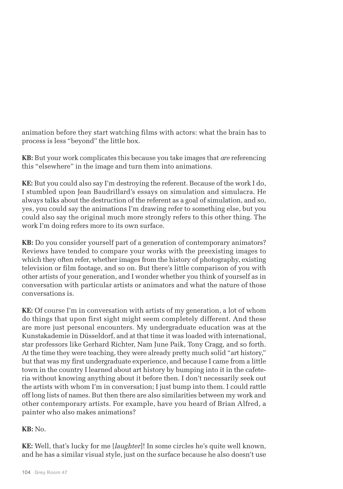animation before they start watching films with actors: what the brain has to process is less "beyond" the little box.

**KB:** But your work complicates this because you take images that *are* referencing this "elsewhere" in the image and turn them into animations.

**KE:** But you could also say I'm destroying the referent. Because of the work I do, I stumbled upon Jean Baudrillard's essays on simulation and simulacra. He always talks about the destruction of the referent as a goal of simulation, and so, yes, you could say the animations I'm drawing refer to something else, but you could also say the original much more strongly refers to this other thing. The work I'm doing refers more to its own surface.

**KB:** Do you consider yourself part of a generation of contemporary animators? Reviews have tended to compare your works with the preexisting images to which they often refer, whether images from the history of photography, existing television or film footage, and so on. But there's little comparison of you with other artists of your generation, and I wonder whether you think of yourself as in conversation with particular artists or animators and what the nature of those conversations is.

**KE:** Of course I'm in conversation with artists of my generation, a lot of whom do things that upon first sight might seem completely different. And these are more just personal encounters. My undergraduate education was at the Kunstakademie in Düsseldorf, and at that time it was loaded with international, star professors like Gerhard Richter, Nam June Paik, Tony Cragg, and so forth. At the time they were teaching, they were already pretty much solid "art history," but that was my first undergraduate experience, and because I came from a little town in the country I learned about art history by bumping into it in the cafeteria without knowing anything about it before then. I don't necessarily seek out the artists with whom I'm in conversation; I just bump into them. I could rattle off long lists of names. But then there are also similarities between my work and other contemporary artists. For example, have you heard of Brian Alfred, a painter who also makes animations?

#### **KB:** No.

**KE:** Well, that's lucky for me [laughter]! In some circles he's quite well known, and he has a similar visual style, just on the surface because he also doesn't use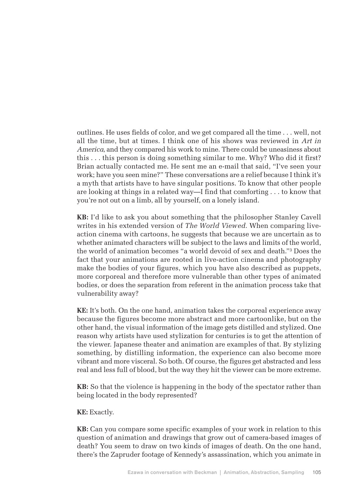outlines. He uses fields of color, and we get compared all the time . . . well, not all the time, but at times. I think one of his shows was reviewed in *Art in America*, and they compared his work to mine. There could be uneasiness about this . . . this person is doing something similar to me. Why? Who did it first? Brian actually contacted me. He sent me an e-mail that said, "I've seen your work; have you seen mine?" These conversations are a relief because I think it's a myth that artists have to have singular positions. To know that other people are looking at things in a related way—I find that comforting . . . to know that you're not out on a limb, all by yourself, on a lonely island.

**KB:** I'd like to ask you about something that the philosopher Stanley Cavell writes in his extended version of *The World Viewed*. When comparing liveaction cinema with cartoons, he suggests that because we are uncertain as to whether animated characters will be subject to the laws and limits of the world, the world of animation becomes "a world devoid of sex and death."3 Does the fact that your animations are rooted in live-action cinema and photography make the bodies of your figures, which you have also described as puppets, more corporeal and therefore more vulnerable than other types of animated bodies, or does the separation from referent in the animation process take that vulnerability away?

**KE:** It's both. On the one hand, animation takes the corporeal experience away because the figures become more abstract and more cartoonlike, but on the other hand, the visual information of the image gets distilled and stylized. One reason why artists have used stylization for centuries is to get the attention of the viewer. Japanese theater and animation are examples of that. By stylizing something, by distilling information, the experience can also become more vibrant and more visceral. So both. Of course, the figures get abstracted and less real and less full of blood, but the way they hit the viewer can be more extreme.

**KB:** So that the violence is happening in the body of the spectator rather than being located in the body represented?

**KE:** Exactly.

**KB:** Can you compare some specific examples of your work in relation to this question of animation and drawings that grow out of camera-based images of death? You seem to draw on two kinds of images of death. On the one hand, there's the Zapruder footage of Kennedy's assassination, which you animate in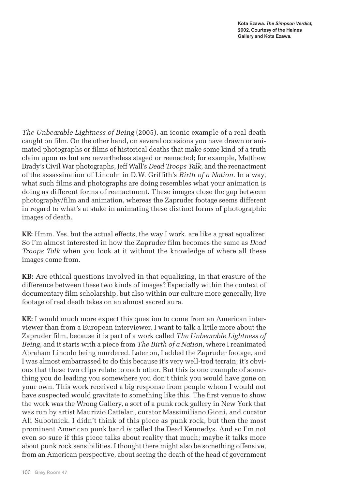*The Unbearable Lightness of Being* (2005), an iconic example of a real death caught on film. On the other hand, on several occasions you have drawn or animated photographs or films of historical deaths that make some kind of a truth claim upon us but are nevertheless staged or reenacted; for example, Matthew Brady's Civil War photographs, Jeff Wall's *Dead Troops Talk*, and the reenactment of the assassination of Lincoln in D.W. Griffith's *Birth of a Nation*. In a way, what such films and photographs are doing resembles what your animation is doing as different forms of reenactment. These images close the gap between photography/film and animation, whereas the Zapruder footage seems different in regard to what's at stake in animating these distinct forms of photographic images of death.

**KE:** Hmm. Yes, but the actual effects, the way I work, are like a great equalizer. So I'm almost interested in how the Zapruder film becomes the same as *Dead Troops Talk* when you look at it without the knowledge of where all these images come from.

**KB:** Are ethical questions involved in that equalizing, in that erasure of the difference between these two kinds of images? Especially within the context of documentary film scholarship, but also within our culture more generally, live footage of real death takes on an almost sacred aura.

**KE:** I would much more expect this question to come from an American interviewer than from a European interviewer. I want to talk a little more about the Zapruder film, because it is part of a work called *The Unbearable Lightness of Being*, and it starts with a piece from *The Birth of a Nation*, where I reanimated Abraham Lincoln being murdered. Later on, I added the Zapruder footage, and I was almost embarrassed to do this because it's very well-trod terrain; it's obvious that these two clips relate to each other. But this is one example of something you do leading you somewhere you don't think you would have gone on your own. This work received a big response from people whom I would not have suspected would gravitate to something like this. The first venue to show the work was the Wrong Gallery, a sort of a punk rock gallery in New York that was run by artist Maurizio Cattelan, curator Massimiliano Gioni, and curator Ali Subotnick. I didn't think of this piece as punk rock, but then the most prominent American punk band *is* called the Dead Kennedys. And so I'm not even so sure if this piece talks about reality that much; maybe it talks more about punk rock sensibilities. I thought there might also be something offensive, from an American perspective, about seeing the death of the head of government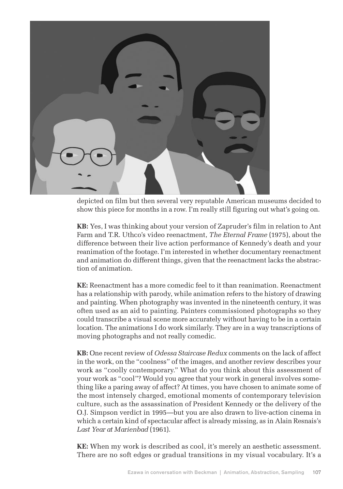

depicted on film but then several very reputable American museums decided to show this piece for months in a row. I'm really still figuring out what's going on.

**KB:** Yes, I was thinking about your version of Zapruder's film in relation to Ant Farm and T.R. Uthco's video reenactment, *The Eternal Frame* (1975), about the difference between their live action performance of Kennedy's death and your reanimation of the footage. I'm interested in whether documentary reenactment and animation do different things, given that the reenactment lacks the abstraction of animation.

**KE:** Reenactment has a more comedic feel to it than reanimation. Reenactment has a relationship with parody, while animation refers to the history of drawing and painting. When photography was invented in the nineteenth century, it was often used as an aid to painting. Painters commissioned photographs so they could transcribe a visual scene more accurately without having to be in a certain location. The animations I do work similarly. They are in a way transcriptions of moving photographs and not really comedic.

**KB:** One recent review of *Odessa Staircase Redux* comments on the lack of affect in the work, on the "coolness" of the images, and another review describes your work as "coolly contemporary." What do you think about this assessment of your work as "cool"? Would you agree that your work in general involves something like a paring away of affect? At times, you have chosen to animate some of the most intensely charged, emotional moments of contemporary television culture, such as the assassination of President Kennedy or the delivery of the O.J. Simpson verdict in 1995—but you are also drawn to live-action cinema in which a certain kind of spectacular affect is already missing, as in Alain Resnais's *Last Year at Marienbad* (1961).

**KE:** When my work is described as cool, it's merely an aesthetic assessment. There are no soft edges or gradual transitions in my visual vocabulary. It's a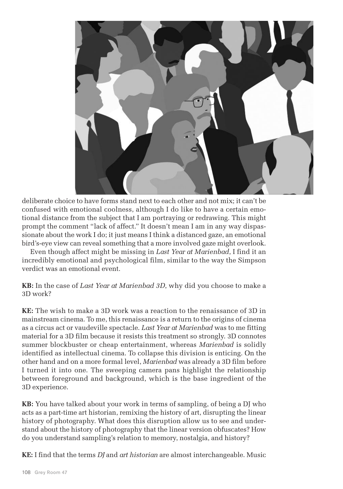

deliberate choice to have forms stand next to each other and not mix; it can't be confused with emotional coolness, although I do like to have a certain emotional distance from the subject that I am portraying or redrawing. This might prompt the comment "lack of affect." It doesn't mean I am in any way dispassionate about the work I do; it just means I think a distanced gaze, an emotional bird's-eye view can reveal something that a more involved gaze might overlook.

Even though affect might be missing in *Last Year at Marienbad*, I find it an incredibly emotional and psychological film, similar to the way the Simpson verdict was an emotional event.

**KB:** In the case of *Last Year at Marienbad 3D*, why did you choose to make a 3D work?

**KE:** The wish to make a 3D work was a reaction to the renaissance of 3D in mainstream cinema. To me, this renaissance is a return to the origins of cinema as a circus act or vaudeville spectacle. *Last Year at Marienbad* was to me fitting material for a 3D film because it resists this treatment so strongly. 3D connotes summer blockbuster or cheap entertainment, whereas *Marienbad* is solidly identified as intellectual cinema. To collapse this division is enticing. On the other hand and on a more formal level, *Marienbad* was already a 3D film before I turned it into one. The sweeping camera pans highlight the relationship between foreground and background, which is the base ingredient of the 3D experience.

**KB:** You have talked about your work in terms of sampling, of being a DJ who acts as a part-time art historian, remixing the history of art, disrupting the linear history of photography. What does this disruption allow us to see and understand about the history of photography that the linear version obfuscates? How do you understand sampling's relation to memory, nostalgia, and history?

**KE:** I find that the terms *DJ* and *art historian* are almost interchangeable. Music